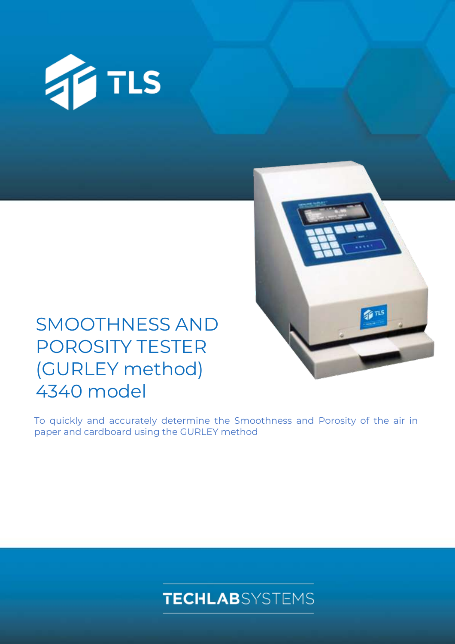



# SMOOTHNESS AND POROSITY TESTER (GURLEY method) 4340 model

To quickly and accurately determine the Smoothness and Porosity of the air in paper and cardboard using the GURLEY method

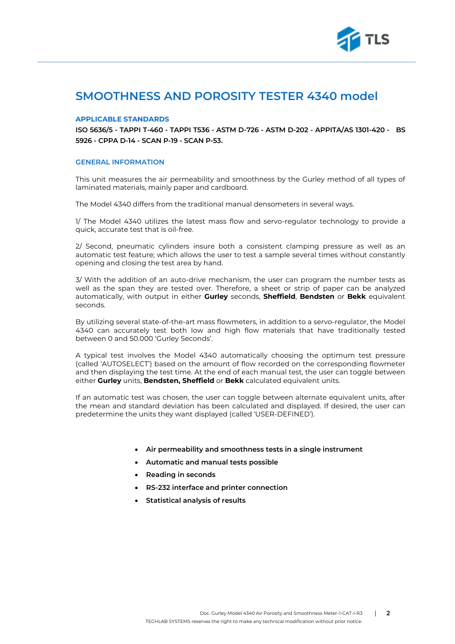

# **SMOOTHNESS AND POROSITY TESTER 4340 model**

### **APPLICABLE STANDARDS**

**ISO 5636/5 - TAPPI T-460 - TAPPI T536 - ASTM D-726 - ASTM D-202 - APPITA/AS 1301-420 - BS 5926 - CPPA D-14 - SCAN P-19 - SCAN P-53.**

#### **GENERAL INFORMATION**

This unit measures the air permeability and smoothness by the Gurley method of all types of laminated materials, mainly paper and cardboard.

The Model 4340 differs from the traditional manual densometers in several ways.

1/ The Model 4340 utilizes the latest mass flow and servo-regulator technology to provide a quick, accurate test that is oil-free.

2/ Second, pneumatic cylinders insure both a consistent clamping pressure as well as an automatic test feature; which allows the user to test a sample several times without constantly opening and closing the test area by hand.

3/ With the addition of an auto-drive mechanism, the user can program the number tests as well as the span they are tested over. Therefore, a sheet or strip of paper can be analyzed automatically, with output in either **Gurley** seconds, **Sheffield**, **Bendsten** or **Bekk** equivalent seconds.

By utilizing several state-of-the-art mass flowmeters, in addition to a servo-regulator, the Model 4340 can accurately test both low and high flow materials that have traditionally tested between 0 and 50.000 'Gurley Seconds'.

A typical test involves the Model 4340 automatically choosing the optimum test pressure (called 'AUTOSELECT') based on the amount of flow recorded on the corresponding flowmeter and then displaying the test time. At the end of each manual test, the user can toggle between either **Gurley** units, **Bendsten, Sheffield** or **Bekk** calculated equivalent units.

If an automatic test was chosen, the user can toggle between alternate equivalent units, after the mean and standard deviation has been calculated and displayed. If desired, the user can predetermine the units they want displayed (called 'USER-DEFINED').

- **Air permeability and smoothness tests in a single instrument**
- **Automatic and manual tests possible**
- **Reading in seconds**
- **RS-232 interface and printer connection**
- **Statistical analysis of results**